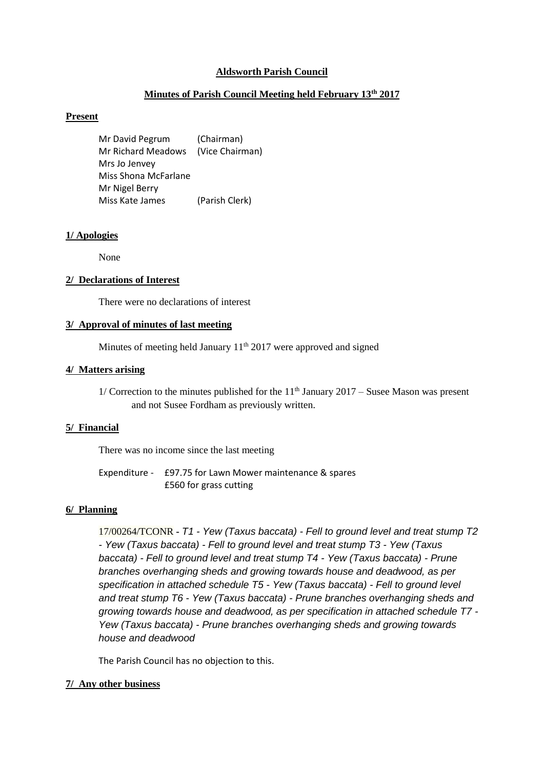# **Aldsworth Parish Council**

# **Minutes of Parish Council Meeting held February 13th 2017**

# **Present**

Mr David Pegrum (Chairman) Mr Richard Meadows (Vice Chairman) Mrs Jo Jenvey Miss Shona McFarlane Mr Nigel Berry Miss Kate James (Parish Clerk)

### **1/ Apologies**

None

#### **2/ Declarations of Interest**

There were no declarations of interest

### **3/ Approval of minutes of last meeting**

Minutes of meeting held January  $11<sup>th</sup> 2017$  were approved and signed

# **4/ Matters arising**

1/ Correction to the minutes published for the  $11<sup>th</sup>$  January 2017 – Susee Mason was present and not Susee Fordham as previously written.

### **5/ Financial**

There was no income since the last meeting

Expenditure - £97.75 for Lawn Mower maintenance & spares £560 for grass cutting

#### **6/ Planning**

17/00264/TCONR **-** *T1 - Yew (Taxus baccata) - [Fell to ground level and treat stump T2](https://publicaccess.cotswold.gov.uk/online-applications/applicationDetails.do?activeTab=summary&keyVal=OK2XICFIKTP00)  - Yew (Taxus baccata) - [Fell to ground level and treat stump T3 -](https://publicaccess.cotswold.gov.uk/online-applications/applicationDetails.do?activeTab=summary&keyVal=OK2XICFIKTP00) Yew (Taxus baccata) - [Fell to ground level and treat stump T4 -](https://publicaccess.cotswold.gov.uk/online-applications/applicationDetails.do?activeTab=summary&keyVal=OK2XICFIKTP00) Yew (Taxus baccata) - Prune [branches overhanging sheds and growing towards house and deadwood, as per](https://publicaccess.cotswold.gov.uk/online-applications/applicationDetails.do?activeTab=summary&keyVal=OK2XICFIKTP00)  [specification in attached schedule T5 -](https://publicaccess.cotswold.gov.uk/online-applications/applicationDetails.do?activeTab=summary&keyVal=OK2XICFIKTP00) Yew (Taxus baccata) - Fell to ground level and treat stump T6 - Yew (Taxus baccata) - [Prune branches overhanging sheds and](https://publicaccess.cotswold.gov.uk/online-applications/applicationDetails.do?activeTab=summary&keyVal=OK2XICFIKTP00)  [growing towards house and deadwood, as per specification in attached schedule T7 -](https://publicaccess.cotswold.gov.uk/online-applications/applicationDetails.do?activeTab=summary&keyVal=OK2XICFIKTP00) Yew (Taxus baccata) - [Prune branches overhanging sheds and growing towards](https://publicaccess.cotswold.gov.uk/online-applications/applicationDetails.do?activeTab=summary&keyVal=OK2XICFIKTP00)  [house and deadwood](https://publicaccess.cotswold.gov.uk/online-applications/applicationDetails.do?activeTab=summary&keyVal=OK2XICFIKTP00)*

The Parish Council has no objection to this.

### **7/ Any other business**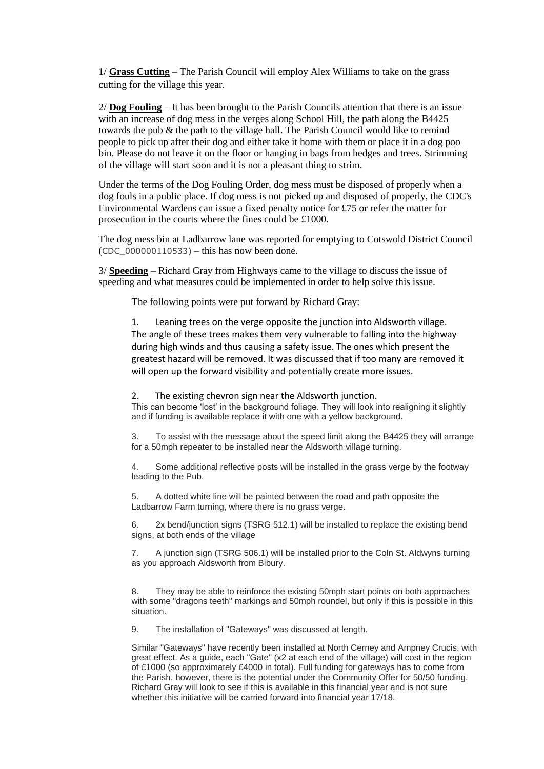1/ **Grass Cutting** – The Parish Council will employ Alex Williams to take on the grass cutting for the village this year.

2/ **Dog Fouling** – It has been brought to the Parish Councils attention that there is an issue with an increase of dog mess in the verges along School Hill, the path along the B4425 towards the pub & the path to the village hall. The Parish Council would like to remind people to pick up after their dog and either take it home with them or place it in a dog poo bin. Please do not leave it on the floor or hanging in bags from hedges and trees. Strimming of the village will start soon and it is not a pleasant thing to strim.

Under the terms of the Dog Fouling Order, dog mess must be disposed of properly when a dog fouls in a public place. If dog mess is not picked up and disposed of properly, the CDC's Environmental Wardens can issue a fixed penalty notice for £75 or refer the matter for prosecution in the courts where the fines could be £1000.

The dog mess bin at Ladbarrow lane was reported for emptying to Cotswold District Council  $(CDC 000000110533)$  – this has now been done.

3/ **Speeding** – Richard Gray from Highways came to the village to discuss the issue of speeding and what measures could be implemented in order to help solve this issue.

The following points were put forward by Richard Gray:

1. Leaning trees on the verge opposite the junction into Aldsworth village. The angle of these trees makes them very vulnerable to falling into the highway during high winds and thus causing a safety issue. The ones which present the greatest hazard will be removed. It was discussed that if too many are removed it will open up the forward visibility and potentially create more issues.

2. The existing chevron sign near the Aldsworth junction.

This can become 'lost' in the background foliage. They will look into realigning it slightly and if funding is available replace it with one with a yellow background.

3. To assist with the message about the speed limit along the B4425 they will arrange for a 50mph repeater to be installed near the Aldsworth village turning.

4. Some additional reflective posts will be installed in the grass verge by the footway leading to the Pub.

5. A dotted white line will be painted between the road and path opposite the Ladbarrow Farm turning, where there is no grass verge.

6. 2x bend/junction signs (TSRG 512.1) will be installed to replace the existing bend signs, at both ends of the village

7. A junction sign (TSRG 506.1) will be installed prior to the Coln St. Aldwyns turning as you approach Aldsworth from Bibury.

8. They may be able to reinforce the existing 50mph start points on both approaches with some "dragons teeth" markings and 50mph roundel, but only if this is possible in this situation.

9. The installation of "Gateways" was discussed at length.

Similar "Gateways" have recently been installed at North Cerney and Ampney Crucis, with great effect. As a guide, each "Gate" (x2 at each end of the village) will cost in the region of £1000 (so approximately £4000 in total). Full funding for gateways has to come from the Parish, however, there is the potential under the Community Offer for 50/50 funding. Richard Gray will look to see if this is available in this financial year and is not sure whether this initiative will be carried forward into financial year 17/18.